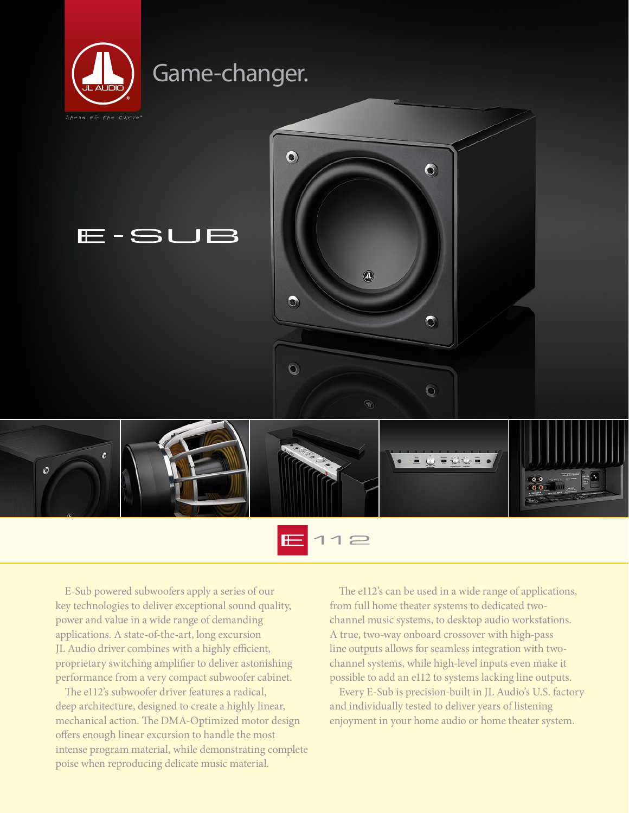



E-Sub powered subwoofers apply a series of our key technologies to deliver exceptional sound quality, power and value in a wide range of demanding applications. A state-of-the-art, long excursion JL Audio driver combines with a highly efficient, proprietary switching amplifier to deliver astonishing performance from a very compact subwoofer cabinet.

The e112's subwoofer driver features a radical, deep architecture, designed to create a highly linear, mechanical action. The DMA-Optimized motor design offers enough linear excursion to handle the most intense program material, while demonstrating complete poise when reproducing delicate music material.

The e112's can be used in a wide range of applications, from full home theater systems to dedicated twochannel music systems, to desktop audio workstations. A true, two-way onboard crossover with high-pass line outputs allows for seamless integration with twochannel systems, while high-level inputs even make it possible to add an e112 to systems lacking line outputs.

Every E-Sub is precision-built in JL Audio's U.S. factory and individually tested to deliver years of listening enjoyment in your home audio or home theater system.